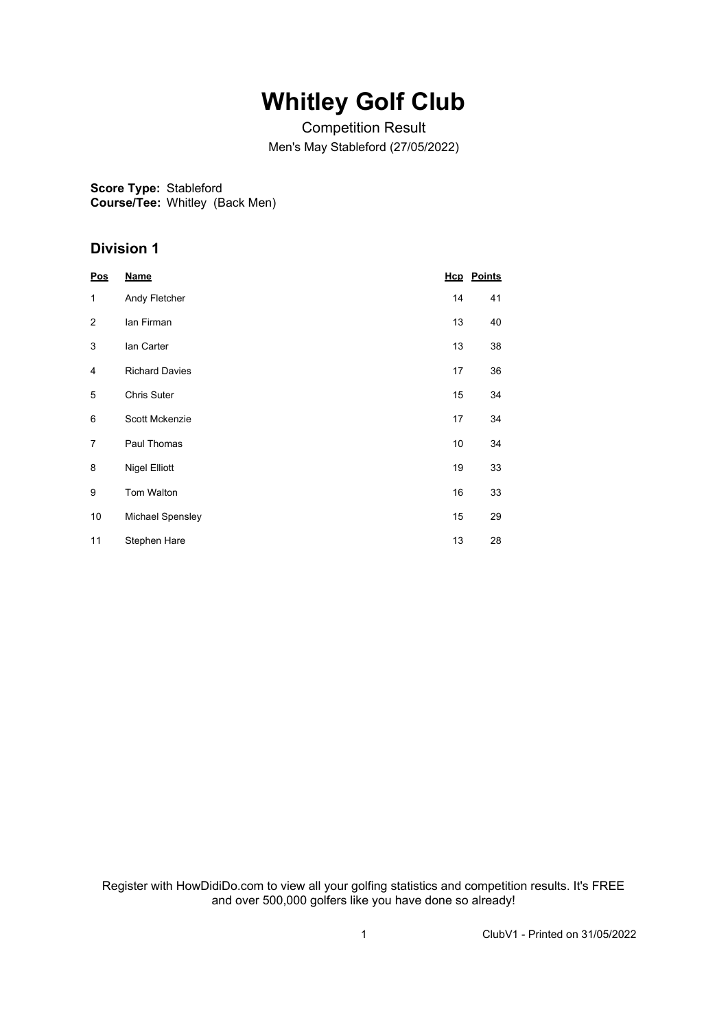# **Whitley Golf Club**

Competition Result Men's May Stableford (27/05/2022)

## **Score Type:** Stableford

**Course/Tee:** Whitley (Back Men)

### **Division 1**

| Pos            | <b>Name</b>           |    | <b>Hcp</b> Points |
|----------------|-----------------------|----|-------------------|
| 1              | Andy Fletcher         | 14 | 41                |
| $\overline{2}$ | lan Firman            | 13 | 40                |
| 3              | lan Carter            | 13 | 38                |
| 4              | <b>Richard Davies</b> | 17 | 36                |
| 5              | <b>Chris Suter</b>    | 15 | 34                |
| 6              | Scott Mckenzie        | 17 | 34                |
| 7              | Paul Thomas           | 10 | 34                |
| 8              | <b>Nigel Elliott</b>  | 19 | 33                |
| 9              | <b>Tom Walton</b>     | 16 | 33                |
| 10             | Michael Spensley      | 15 | 29                |
| 11             | Stephen Hare          | 13 | 28                |

Register with HowDidiDo.com to view all your golfing statistics and competition results. It's FREE and over 500,000 golfers like you have done so already!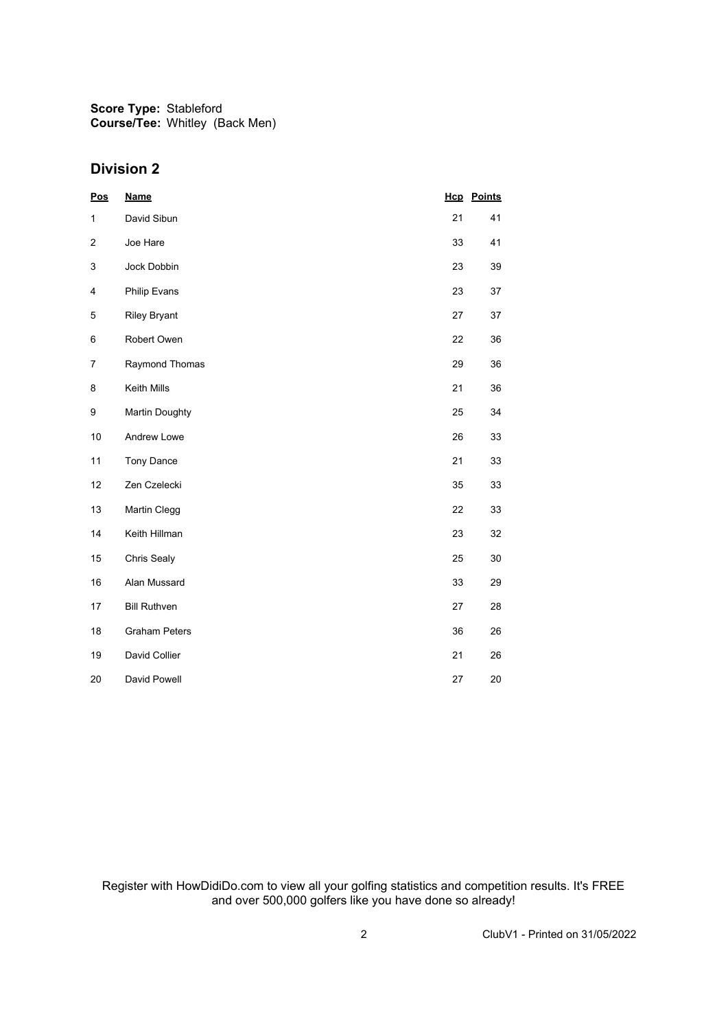**Score Type:** Stableford **Course/Tee:** Whitley (Back Men)

#### **Division 2**

| <b>Pos</b>   | <b>Name</b>           |    | <b>Hcp</b> Points |
|--------------|-----------------------|----|-------------------|
| $\mathbf{1}$ | David Sibun           | 21 | 41                |
| 2            | Joe Hare              | 33 | 41                |
| 3            | Jock Dobbin           | 23 | 39                |
| 4            | Philip Evans          | 23 | 37                |
| 5            | <b>Riley Bryant</b>   | 27 | 37                |
| 6            | Robert Owen           | 22 | 36                |
| 7            | Raymond Thomas        | 29 | 36                |
| 8            | Keith Mills           | 21 | 36                |
| 9            | <b>Martin Doughty</b> | 25 | 34                |
| 10           | Andrew Lowe           | 26 | 33                |
| 11           | Tony Dance            | 21 | 33                |
| 12           | Zen Czelecki          | 35 | 33                |
| 13           | Martin Clegg          | 22 | 33                |
| 14           | Keith Hillman         | 23 | 32                |
| 15           | Chris Sealy           | 25 | 30                |
| 16           | Alan Mussard          | 33 | 29                |
| 17           | <b>Bill Ruthven</b>   | 27 | 28                |
| 18           | <b>Graham Peters</b>  | 36 | 26                |
| 19           | David Collier         | 21 | 26                |
| 20           | David Powell          | 27 | 20                |

Register with HowDidiDo.com to view all your golfing statistics and competition results. It's FREE and over 500,000 golfers like you have done so already!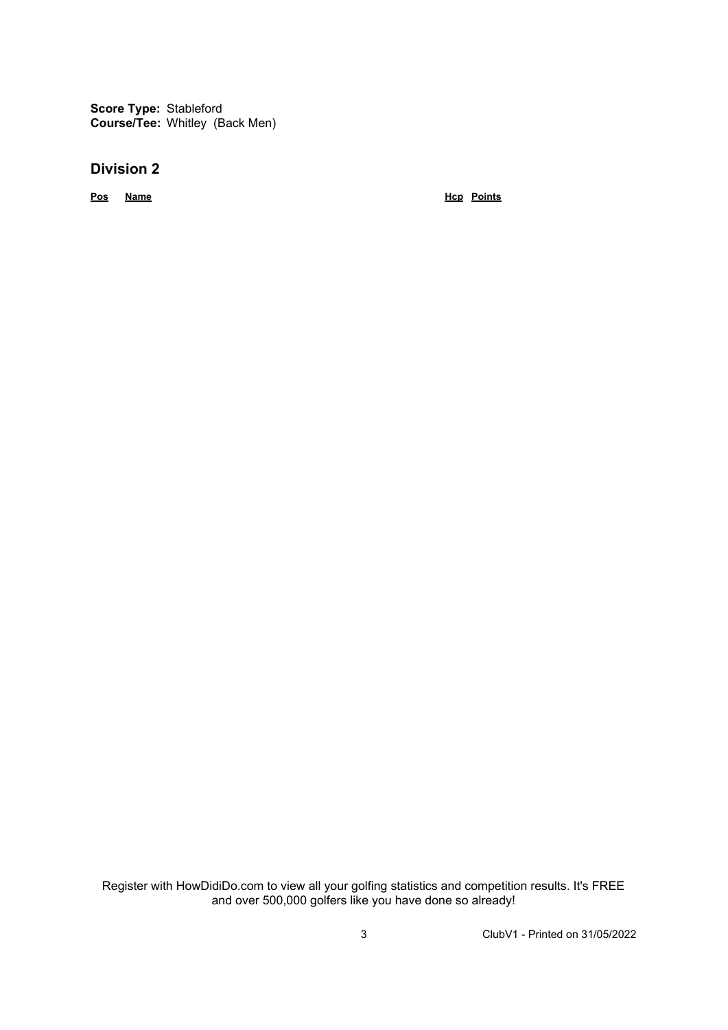**Score Type:** Stableford **Course/Tee:** Whitley (Back Men)

#### **Division 2**

**Pos Name Hcp Points**

Register with HowDidiDo.com to view all your golfing statistics and competition results. It's FREE and over 500,000 golfers like you have done so already!